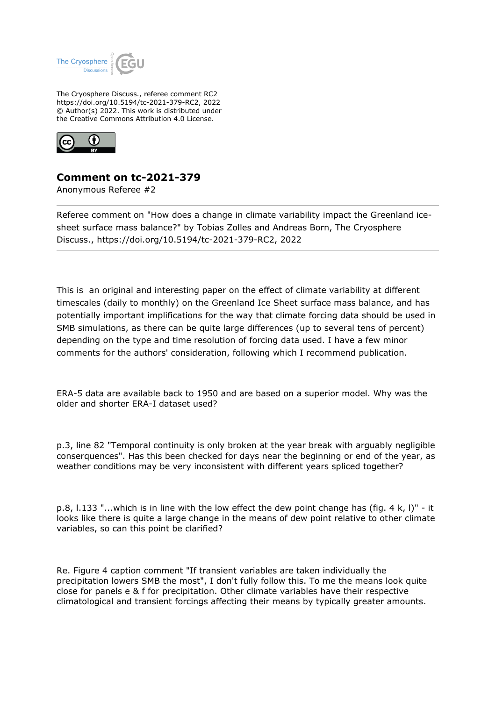

The Cryosphere Discuss., referee comment RC2 https://doi.org/10.5194/tc-2021-379-RC2, 2022 © Author(s) 2022. This work is distributed under the Creative Commons Attribution 4.0 License.



## **Comment on tc-2021-379**

Anonymous Referee #2

Referee comment on "How does a change in climate variability impact the Greenland icesheet surface mass balance?" by Tobias Zolles and Andreas Born, The Cryosphere Discuss., https://doi.org/10.5194/tc-2021-379-RC2, 2022

This is an original and interesting paper on the effect of climate variability at different timescales (daily to monthly) on the Greenland Ice Sheet surface mass balance, and has potentially important implifications for the way that climate forcing data should be used in SMB simulations, as there can be quite large differences (up to several tens of percent) depending on the type and time resolution of forcing data used. I have a few minor comments for the authors' consideration, following which I recommend publication.

ERA-5 data are available back to 1950 and are based on a superior model. Why was the older and shorter ERA-I dataset used?

p.3, line 82 "Temporal continuity is only broken at the year break with arguably negligible conserquences". Has this been checked for days near the beginning or end of the year, as weather conditions may be very inconsistent with different years spliced together?

p.8, l.133 "...which is in line with the low effect the dew point change has (fig. 4 k, l)" - it looks like there is quite a large change in the means of dew point relative to other climate variables, so can this point be clarified?

Re. Figure 4 caption comment "If transient variables are taken individually the precipitation lowers SMB the most", I don't fully follow this. To me the means look quite close for panels e & f for precipitation. Other climate variables have their respective climatological and transient forcings affecting their means by typically greater amounts.